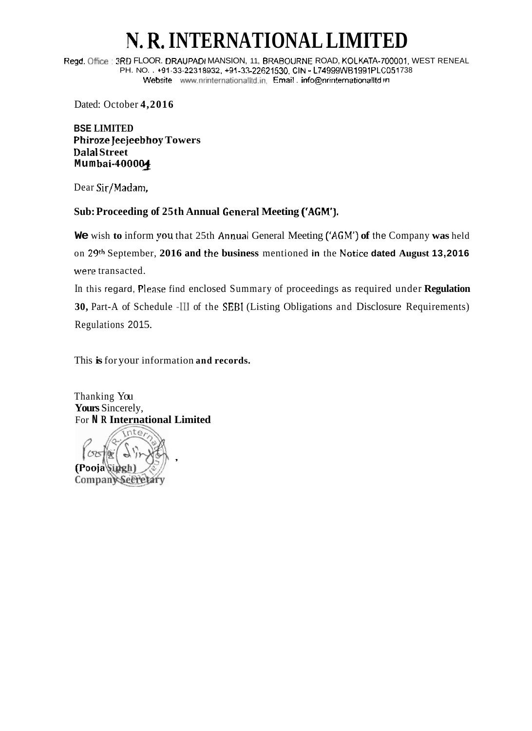## **N. R. INTERNATIONAL LIMIT**

Regd. Office: 3RD FLOOR. DRAUPADI MANSION, 11, BRABOURNE ROAD, KOLKATA-700001, WEST RENEAL PH. NO. .  $+91-33-22318932$ ,  $+91-33-22621530$ , CIN - L74999WB1991PLC051738 **Website** www.nrinternationalItd.in, **Email**, **info@nrintemationalItd in** 

Dated: October **4,2016** 

**BSE LIMITED Phiroze Jeejeebhoy Towers Dalal Street Mum bai-4000%** 

Dear Sir/Madam,

## **Sub: Proceeding of 25th Annual General Meeting C'AGM'J.**

**We** wish **to** inform **you** that 25th Annual General Meeting **['AGM') of** the Company **was** held on **29th** September, **2016 and** the **business** mentioned **in** the **Notice dated August 13,2016**  were transacted.

In this regard, Please find enclosed Summary of proceedings as required under **Regulation 30,** Part-A of Schedule -111 of the SEBI (Listing Obligations and Disclosure Requirements) Regulations 2015.

This **is** for your information **and records.** 

Thanking You **Yours** Sincerely, For **N R International Limited**